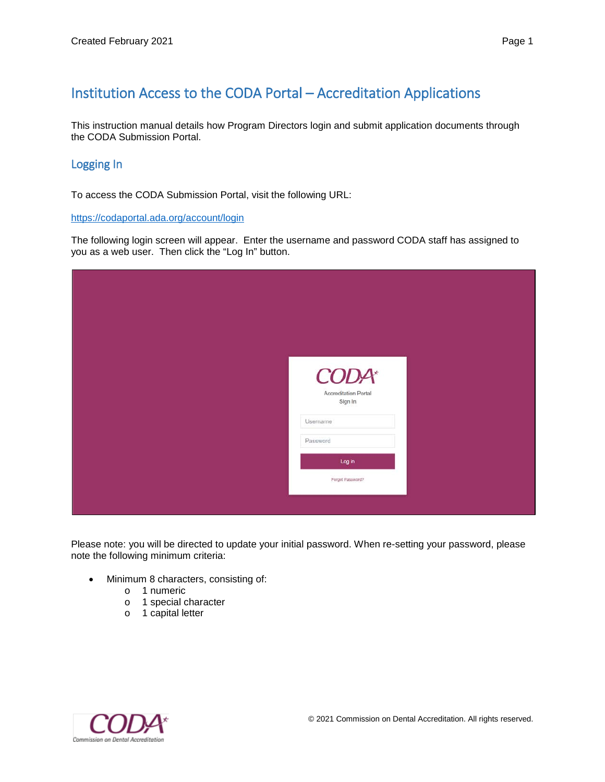## Institution Access to the CODA Portal – Accreditation Applications

This instruction manual details how Program Directors login and submit application documents through the CODA Submission Portal.

## Logging In

To access the CODA Submission Portal, visit the following URL:

<https://codaportal.ada.org/account/login>

The following login screen will appear. Enter the username and password CODA staff has assigned to you as a web user. Then click the "Log In" button.

| <b>CODA*</b>         |
|----------------------|
| Accreditation Portal |
| Sign In              |
| Username             |
| Password             |
| Log in               |
| Forgot Password?     |
|                      |
|                      |

Please note: you will be directed to update your initial password. When re-setting your password, please note the following minimum criteria:

- Minimum 8 characters, consisting of:
	- o 1 numeric
	- o 1 special character
	- o 1 capital letter

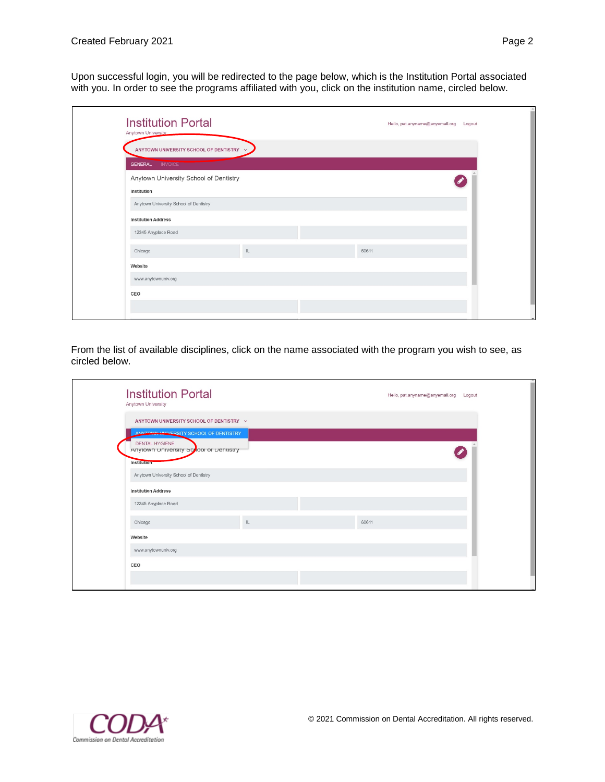Upon successful login, you will be redirected to the page below, which is the Institution Portal associated with you. In order to see the programs affiliated with you, click on the institution name, circled below.

| <b>Institution Portal</b><br>Anytown University |               |       | Hello, pat.anyname@anyemail.org    Logout |
|-------------------------------------------------|---------------|-------|-------------------------------------------|
| ANYTOWN UNIVERSITY SCHOOL OF DENTISTRY V        |               |       |                                           |
| <b>INVOICE</b><br><b>GENERAL</b>                |               |       |                                           |
| Anytown University School of Dentistry          |               |       |                                           |
| Institution                                     |               |       |                                           |
| Anytown University School of Dentistry          |               |       |                                           |
| <b>Institution Address</b>                      |               |       |                                           |
| 12345 Anyplace Road                             |               |       |                                           |
| Chicago                                         | $\mathsf{IL}$ | 60611 |                                           |
| Website                                         |               |       |                                           |
| www.anytownuniv.org                             |               |       |                                           |
| CEO                                             |               |       |                                           |
|                                                 |               |       |                                           |

From the list of available disciplines, click on the name associated with the program you wish to see, as circled below.

| <b>Institution Portal</b><br>Anytown University                                       |    |       | Hello, pat.anyname@anyemail.org<br>Logout |
|---------------------------------------------------------------------------------------|----|-------|-------------------------------------------|
| ANYTOWN UNIVERSITY SCHOOL OF DENTISTRY V<br>ANYTOWN UNIVERSITY SCHOOL OF DENTISTRY    |    |       |                                           |
| <b>DENTAL HYGIENE</b><br>Anytown University Scrool of Dentistry<br><b>Institution</b> |    |       |                                           |
| Anytown University School of Dentistry<br><b>Institution Address</b>                  |    |       |                                           |
| 12345 Anyplace Road                                                                   |    |       |                                           |
| Chicago                                                                               | IL | 60611 |                                           |
| Website                                                                               |    |       |                                           |
| www.anytownuniv.org                                                                   |    |       |                                           |
| CEO                                                                                   |    |       |                                           |
|                                                                                       |    |       |                                           |

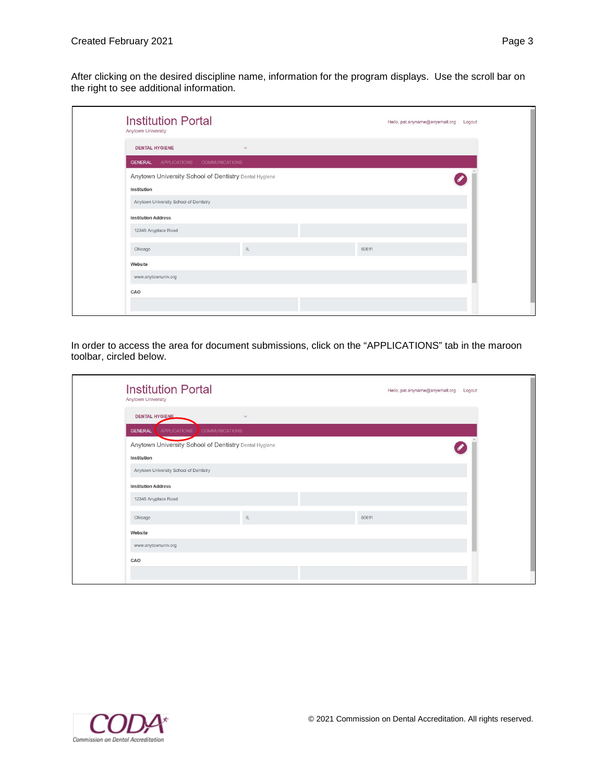After clicking on the desired discipline name, information for the program displays. Use the scroll bar on the right to see additional information.

| <b>Institution Portal</b><br>Anytown University                      |               |       | Hello, pat.anyname@anyemail.org<br>Logout |
|----------------------------------------------------------------------|---------------|-------|-------------------------------------------|
| <b>DENTAL HYGIENE</b>                                                | $\checkmark$  |       |                                           |
| <b>GENERAL</b> APPLICATIONS COMMUNICATIONS                           |               |       |                                           |
| Anytown University School of Dentistry Dental Hygiene<br>Institution |               |       |                                           |
| Anytown University School of Dentistry                               |               |       |                                           |
| <b>Institution Address</b>                                           |               |       |                                           |
| 12345 Anyplace Road                                                  |               |       |                                           |
| Chicago                                                              | $\mathsf{IL}$ | 60611 |                                           |
| Website                                                              |               |       |                                           |
| www.anytownuniv.org                                                  |               |       |                                           |
| CAO                                                                  |               |       |                                           |
|                                                                      |               |       |                                           |

In order to access the area for document submissions, click on the "APPLICATIONS" tab in the maroon toolbar, circled below.

| <b>Institution Portal</b><br>Anytown University                                  |        | Hello, pat.anyname@anyemail.org | Logout |
|----------------------------------------------------------------------------------|--------|---------------------------------|--------|
| <b>DENTAL HYGIENE</b><br><b>APPLICATIONS</b><br><b>GENERAL</b><br>COMMUNICATIONS | $\vee$ |                                 |        |
| Anytown University School of Dentistry Dental Hygiene<br>Institution             |        |                                 |        |
| Anytown University School of Dentistry                                           |        |                                 |        |
| <b>Institution Address</b>                                                       |        |                                 |        |
| 12345 Anyplace Road                                                              |        |                                 |        |
| Chicago                                                                          | IL     | 60611                           |        |
| Website                                                                          |        |                                 |        |
| www.anytownuniv.org                                                              |        |                                 |        |
| CAO                                                                              |        |                                 |        |
|                                                                                  |        |                                 |        |

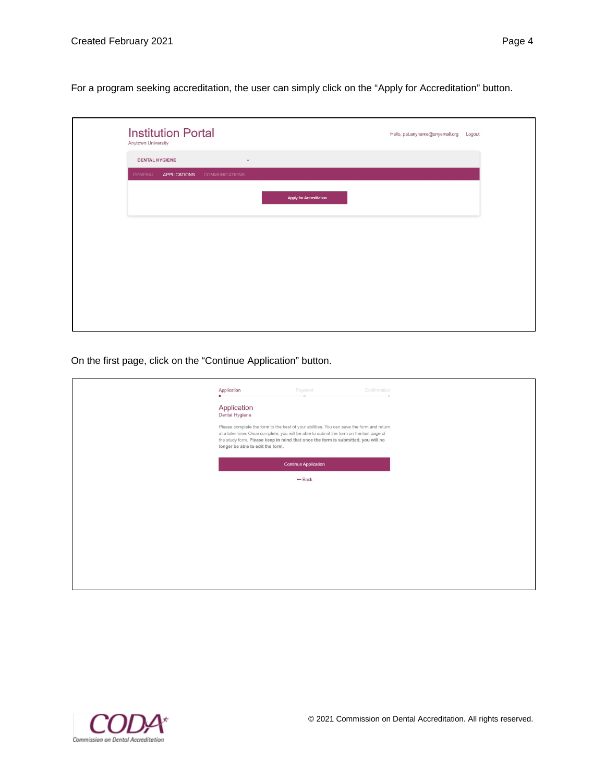For a program seeking accreditation, the user can simply click on the "Apply for Accreditation" button.

| Anytown University    | <b>Institution Portal</b> |                       |                                |  |
|-----------------------|---------------------------|-----------------------|--------------------------------|--|
| <b>DENTAL HYGIENE</b> |                           | $\checkmark$          |                                |  |
| <b>GENERAL</b>        | <b>APPLICATIONS</b>       | <b>COMMUNICATIONS</b> |                                |  |
|                       |                           |                       | <b>Apply for Accreditation</b> |  |
|                       |                           |                       |                                |  |
|                       |                           |                       |                                |  |
|                       |                           |                       |                                |  |
|                       |                           |                       |                                |  |
|                       |                           |                       |                                |  |
|                       |                           |                       |                                |  |
|                       |                           |                       |                                |  |

On the first page, click on the "Continue Application" button.

| Application<br>Confirmation<br>Payment<br>Application<br>Dental Hygiene<br>Please complete the form to the best of your abilities. You can save the form and return<br>at a later time. Once complete, you will be able to submit the form on the last page of<br>the study form. Please keep in mind that once the form is submitted, you will no<br>longer be able to edit the form. |  |
|----------------------------------------------------------------------------------------------------------------------------------------------------------------------------------------------------------------------------------------------------------------------------------------------------------------------------------------------------------------------------------------|--|
| <b>Continue Application</b><br>$-$ Back                                                                                                                                                                                                                                                                                                                                                |  |
|                                                                                                                                                                                                                                                                                                                                                                                        |  |
|                                                                                                                                                                                                                                                                                                                                                                                        |  |
|                                                                                                                                                                                                                                                                                                                                                                                        |  |
|                                                                                                                                                                                                                                                                                                                                                                                        |  |

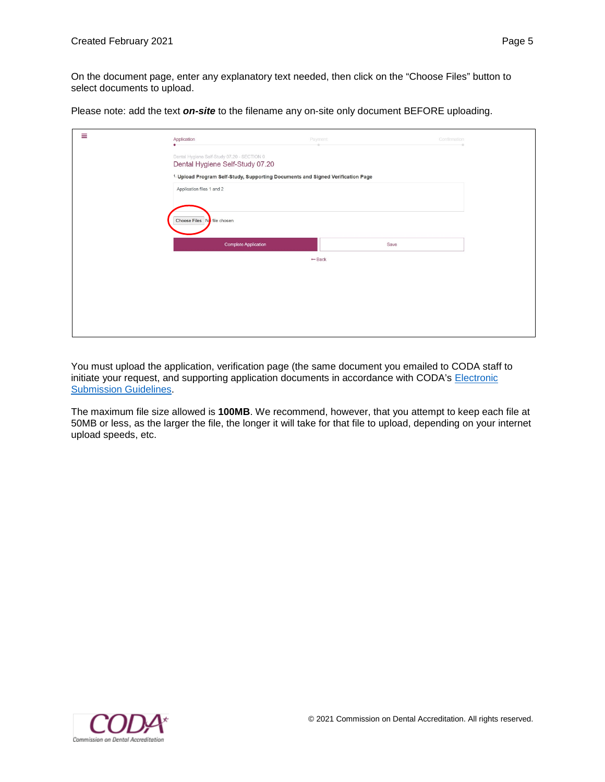On the document page, enter any explanatory text needed, then click on the "Choose Files" button to select documents to upload.

Please note: add the text *on-site* to the filename any on-site only document BEFORE uploading.

| Ξ | Application                                                                    | Payment                                                                                    | Confirmation |  |
|---|--------------------------------------------------------------------------------|--------------------------------------------------------------------------------------------|--------------|--|
|   | Dental Hygiene Self-Study 07.20 - SECTION 0<br>Dental Hygiene Self-Study 07.20 |                                                                                            |              |  |
|   |                                                                                | <sup>1.</sup> Upload Program Self-Study, Supporting Documents and Signed Verification Page |              |  |
|   | Application files 1 and 2                                                      |                                                                                            |              |  |
|   |                                                                                |                                                                                            |              |  |
|   | Choose Files No file chosen                                                    |                                                                                            |              |  |
|   | <b>Complete Application</b>                                                    |                                                                                            | Save         |  |
|   |                                                                                | $-$ Back                                                                                   |              |  |
|   |                                                                                |                                                                                            |              |  |
|   |                                                                                |                                                                                            |              |  |
|   |                                                                                |                                                                                            |              |  |
|   |                                                                                |                                                                                            |              |  |
|   |                                                                                |                                                                                            |              |  |

You must upload the application, verification page (the same document you emailed to CODA staff to initiate your request, and supporting application documents in accordance with CODA's Electronic [Submission Guidelines.](https://www.ada.org/en/coda/policies-and-guidelines/electronic-submission-guidelines)

The maximum file size allowed is **100MB**. We recommend, however, that you attempt to keep each file at 50MB or less, as the larger the file, the longer it will take for that file to upload, depending on your internet upload speeds, etc.

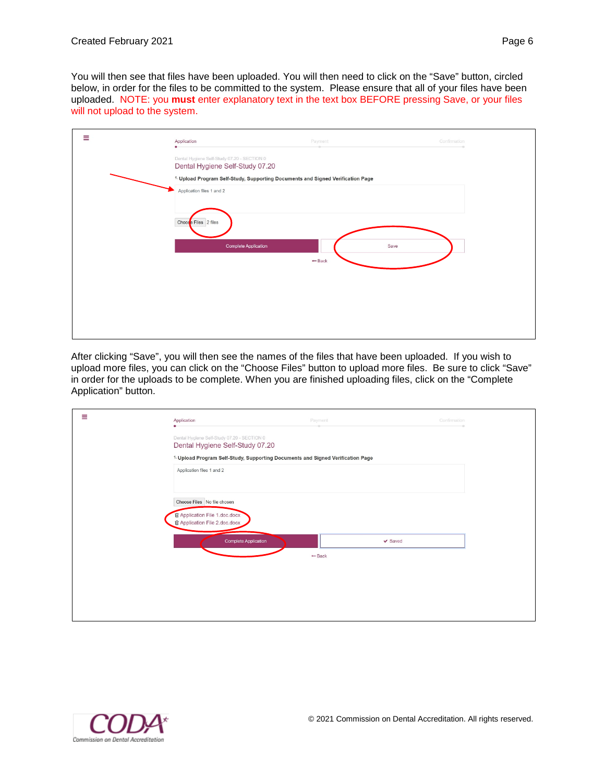You will then see that files have been uploaded. You will then need to click on the "Save" button, circled below, in order for the files to be committed to the system. Please ensure that all of your files have been uploaded. NOTE: you **must** enter explanatory text in the text box BEFORE pressing Save, or your files will not upload to the system.

| Ξ | Application                                                                                | Payment          | Confirmation |
|---|--------------------------------------------------------------------------------------------|------------------|--------------|
|   | Dental Hygiene Self-Study 07.20 - SECTION 0<br>Dental Hygiene Self-Study 07.20             |                  |              |
|   | <sup>1.</sup> Upload Program Self-Study, Supporting Documents and Signed Verification Page |                  |              |
|   | Application files 1 and 2                                                                  |                  |              |
|   | Choose Files 2 files                                                                       |                  |              |
|   | <b>Complete Application</b>                                                                | Save<br>$-$ Back |              |
|   |                                                                                            |                  |              |
|   |                                                                                            |                  |              |
|   |                                                                                            |                  |              |

After clicking "Save", you will then see the names of the files that have been uploaded. If you wish to upload more files, you can click on the "Choose Files" button to upload more files. Be sure to click "Save" in order for the uploads to be complete. When you are finished uploading files, click on the "Complete Application" button.

| Ξ | Application                                                                                                 | Payment                                                                                    | Confirmation |
|---|-------------------------------------------------------------------------------------------------------------|--------------------------------------------------------------------------------------------|--------------|
|   | Dental Hygiene Self-Study 07.20 - SECTION 0<br>Dental Hygiene Self-Study 07.20                              |                                                                                            |              |
|   |                                                                                                             | <sup>1.</sup> Upload Program Self-Study, Supporting Documents and Signed Verification Page |              |
|   | Application files 1 and 2                                                                                   |                                                                                            |              |
|   | Choose Files No file chosen<br><b>自 Application File 1.doc.docx</b><br><b>自 Application File 2.doc.docx</b> |                                                                                            |              |
|   | <b>Complete Application</b>                                                                                 | $-$ Back                                                                                   | $\vee$ Saved |
|   |                                                                                                             |                                                                                            |              |
|   |                                                                                                             |                                                                                            |              |